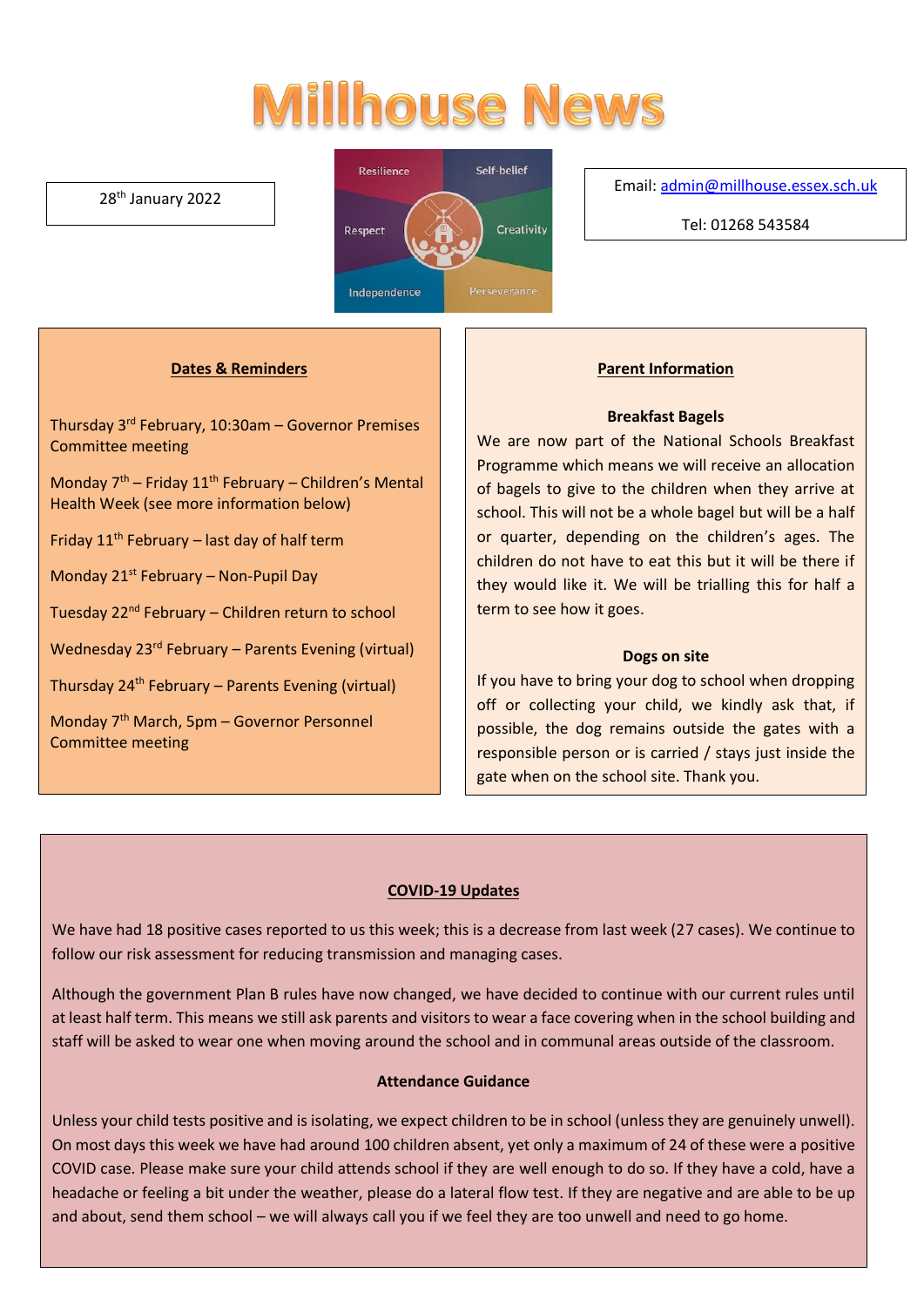# **Millhouse News**

#### 28th January 2022



Email[: admin@millhouse.essex.sch.uk](mailto:admin@millhouse.essex.sch.uk)

Tel: 01268 543584

## **Dates & Reminders**

Thursday 3rd February, 10:30am – Governor Premises Committee meeting

Monday  $7<sup>th</sup>$  – Friday 11<sup>th</sup> February – Children's Mental Health Week (see more information below)

Friday 11<sup>th</sup> February – last day of half term

Monday  $21^{st}$  February – Non-Pupil Day

Tuesday 22nd February – Children return to school

Wednesday  $23^{rd}$  February – Parents Evening (virtual)

Thursday 24<sup>th</sup> February – Parents Evening (virtual)

Monday 7<sup>th</sup> March, 5pm – Governor Personnel Committee meeting

#### **Parent Information**

#### **Breakfast Bagels**

We are now part of the National Schools Breakfast Programme which means we will receive an allocation of bagels to give to the children when they arrive at school. This will not be a whole bagel but will be a half or quarter, depending on the children's ages. The children do not have to eat this but it will be there if they would like it. We will be trialling this for half a term to see how it goes.

#### **Dogs on site**

If you have to bring your dog to school when dropping off or collecting your child, we kindly ask that, if possible, the dog remains outside the gates with a responsible person or is carried / stays just inside the gate when on the school site. Thank you.

### **COVID-19 Updates**

We have had 18 positive cases reported to us this week; this is a decrease from last week (27 cases). We continue to follow our risk assessment for reducing transmission and managing cases.

Although the government Plan B rules have now changed, we have decided to continue with our current rules until at least half term. This means we still ask parents and visitors to wear a face covering when in the school building and staff will be asked to wear one when moving around the school and in communal areas outside of the classroom.

### **Attendance Guidance**

Unless your child tests positive and is isolating, we expect children to be in school (unless they are genuinely unwell). On most days this week we have had around 100 children absent, yet only a maximum of 24 of these were a positive COVID case. Please make sure your child attends school if they are well enough to do so. If they have a cold, have a headache or feeling a bit under the weather, please do a lateral flow test. If they are negative and are able to be up and about, send them school – we will always call you if we feel they are too unwell and need to go home.